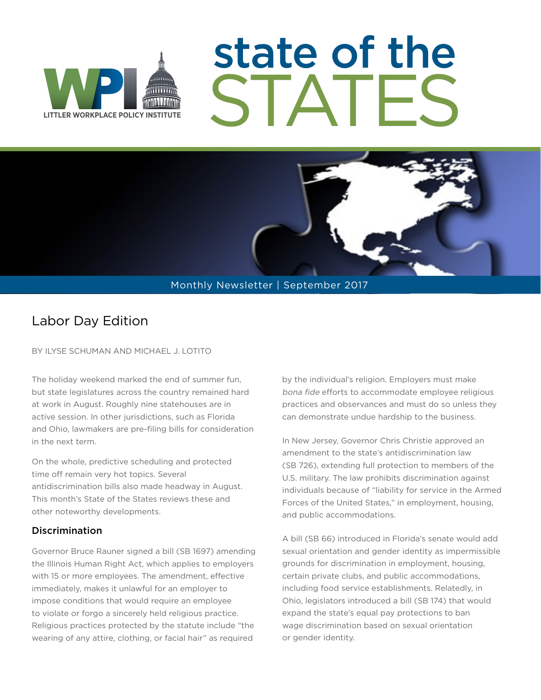

# state of the STATES

### Monthly Newsletter | September 2017

### Labor Day Edition

BY ILYSE SCHUMAN AND MICHAEL J. LOTITO

The holiday weekend marked the end of summer fun, but state legislatures across the country remained hard at work in August. Roughly nine statehouses are in active session. In other jurisdictions, such as Florida and Ohio, lawmakers are pre-filing bills for consideration in the next term.

On the whole, predictive scheduling and protected time off remain very hot topics. Several antidiscrimination bills also made headway in August. This month's State of the States reviews these and other noteworthy developments.

### Discrimination

Governor Bruce Rauner signed a bill (SB 1697) amending the Illinois Human Right Act, which applies to employers with 15 or more employees. The amendment, effective immediately, makes it unlawful for an employer to impose conditions that would require an employee to violate or forgo a sincerely held religious practice. Religious practices protected by the statute include "the wearing of any attire, clothing, or facial hair" as required

by the individual's religion. Employers must make bona fide efforts to accommodate employee religious practices and observances and must do so unless they can demonstrate undue hardship to the business.

In New Jersey, Governor Chris Christie approved an amendment to the state's antidiscrimination law (SB 726), extending full protection to members of the U.S. military. The law prohibits discrimination against individuals because of "liability for service in the Armed Forces of the United States," in employment, housing, and public accommodations.

A bill (SB 66) introduced in Florida's senate would add sexual orientation and gender identity as impermissible grounds for discrimination in employment, housing, certain private clubs, and public accommodations, including food service establishments. Relatedly, in Ohio, legislators introduced a bill (SB 174) that would expand the state's equal pay protections to ban wage discrimination based on sexual orientation or gender identity.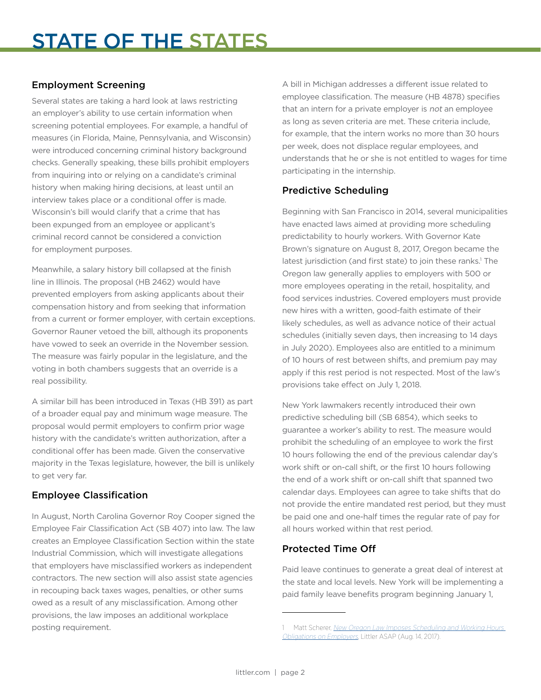### Employment Screening

Several states are taking a hard look at laws restricting an employer's ability to use certain information when screening potential employees. For example, a handful of measures (in Florida, Maine, Pennsylvania, and Wisconsin) were introduced concerning criminal history background checks. Generally speaking, these bills prohibit employers from inquiring into or relying on a candidate's criminal history when making hiring decisions, at least until an interview takes place or a conditional offer is made. Wisconsin's bill would clarify that a crime that has been expunged from an employee or applicant's criminal record cannot be considered a conviction for employment purposes.

Meanwhile, a salary history bill collapsed at the finish line in Illinois. The proposal (HB 2462) would have prevented employers from asking applicants about their compensation history and from seeking that information from a current or former employer, with certain exceptions. Governor Rauner vetoed the bill, although its proponents have vowed to seek an override in the November session. The measure was fairly popular in the legislature, and the voting in both chambers suggests that an override is a real possibility.

A similar bill has been introduced in Texas (HB 391) as part of a broader equal pay and minimum wage measure. The proposal would permit employers to confirm prior wage history with the candidate's written authorization, after a conditional offer has been made. Given the conservative majority in the Texas legislature, however, the bill is unlikely to get very far.

### Employee Classification

In August, North Carolina Governor Roy Cooper signed the Employee Fair Classification Act (SB 407) into law. The law creates an Employee Classification Section within the state Industrial Commission, which will investigate allegations that employers have misclassified workers as independent contractors. The new section will also assist state agencies in recouping back taxes wages, penalties, or other sums owed as a result of any misclassification. Among other provisions, the law imposes an additional workplace posting requirement.

A bill in Michigan addresses a different issue related to employee classification. The measure (HB 4878) specifies that an intern for a private employer is not an employee as long as seven criteria are met. These criteria include, for example, that the intern works no more than 30 hours per week, does not displace regular employees, and understands that he or she is not entitled to wages for time participating in the internship.

### Predictive Scheduling

Beginning with San Francisco in 2014, several municipalities have enacted laws aimed at providing more scheduling predictability to hourly workers. With Governor Kate Brown's signature on August 8, 2017, Oregon became the latest jurisdiction (and first state) to join these ranks.<sup>1</sup> The Oregon law generally applies to employers with 500 or more employees operating in the retail, hospitality, and food services industries. Covered employers must provide new hires with a written, good-faith estimate of their likely schedules, as well as advance notice of their actual schedules (initially seven days, then increasing to 14 days in July 2020). Employees also are entitled to a minimum of 10 hours of rest between shifts, and premium pay may apply if this rest period is not respected. Most of the law's provisions take effect on July 1, 2018.

New York lawmakers recently introduced their own predictive scheduling bill (SB 6854), which seeks to guarantee a worker's ability to rest. The measure would prohibit the scheduling of an employee to work the first 10 hours following the end of the previous calendar day's work shift or on-call shift, or the first 10 hours following the end of a work shift or on-call shift that spanned two calendar days. Employees can agree to take shifts that do not provide the entire mandated rest period, but they must be paid one and one-half times the regular rate of pay for all hours worked within that rest period.

### Protected Time Off

Paid leave continues to generate a great deal of interest at the state and local levels. New York will be implementing a paid family leave benefits program beginning January 1,

<sup>1</sup> Matt Scherer, New Oregon Law Imposes Scheduling and Working Hours [Obligations on Employers](https://www.littler.com/publication-press/publication/new-oregon-law-imposes-scheduling-and-working-hours-obligations), Littler ASAP (Aug. 14, 2017).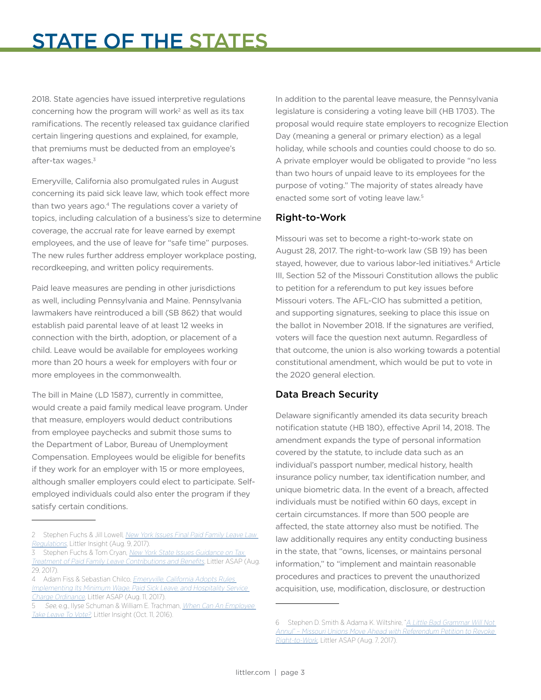# STATE OF THE STATES

2018. State agencies have issued interpretive regulations concerning how the program will work2 as well as its tax ramifications. The recently released tax guidance clarified certain lingering questions and explained, for example, that premiums must be deducted from an employee's after-tax wages.<sup>3</sup>

Emeryville, California also promulgated rules in August concerning its paid sick leave law, which took effect more than two years ago.<sup>4</sup> The regulations cover a variety of topics, including calculation of a business's size to determine coverage, the accrual rate for leave earned by exempt employees, and the use of leave for "safe time" purposes. The new rules further address employer workplace posting, recordkeeping, and written policy requirements.

Paid leave measures are pending in other jurisdictions as well, including Pennsylvania and Maine. Pennsylvania lawmakers have reintroduced a bill (SB 862) that would establish paid parental leave of at least 12 weeks in connection with the birth, adoption, or placement of a child. Leave would be available for employees working more than 20 hours a week for employers with four or more employees in the commonwealth.

The bill in Maine (LD 1587), currently in committee, would create a paid family medical leave program. Under that measure, employers would deduct contributions from employee paychecks and submit those sums to the Department of Labor, Bureau of Unemployment Compensation. Employees would be eligible for benefits if they work for an employer with 15 or more employees, although smaller employers could elect to participate. Selfemployed individuals could also enter the program if they satisfy certain conditions.

In addition to the parental leave measure, the Pennsylvania legislature is considering a voting leave bill (HB 1703). The proposal would require state employers to recognize Election Day (meaning a general or primary election) as a legal holiday, while schools and counties could choose to do so. A private employer would be obligated to provide "no less than two hours of unpaid leave to its employees for the purpose of voting." The majority of states already have enacted some sort of voting leave law.<sup>5</sup>

### Right-to-Work

Missouri was set to become a right-to-work state on August 28, 2017. The right-to-work law (SB 19) has been stayed, however, due to various labor-led initiatives.<sup>6</sup> Article III, Section 52 of the Missouri Constitution allows the public to petition for a referendum to put key issues before Missouri voters. The AFL-CIO has submitted a petition, and supporting signatures, seeking to place this issue on the ballot in November 2018. If the signatures are verified, voters will face the question next autumn. Regardless of that outcome, the union is also working towards a potential constitutional amendment, which would be put to vote in the 2020 general election.

### Data Breach Security

Delaware significantly amended its data security breach notification statute (HB 180), effective April 14, 2018. The amendment expands the type of personal information covered by the statute, to include data such as an individual's passport number, medical history, health insurance policy number, tax identification number, and unique biometric data. In the event of a breach, affected individuals must be notified within 60 days, except in certain circumstances. If more than 500 people are affected, the state attorney also must be notified. The law additionally requires any entity conducting business in the state, that "owns, licenses, or maintains personal information," to "implement and maintain reasonable procedures and practices to prevent the unauthorized acquisition, use, modification, disclosure, or destruction

<sup>2</sup> Stephen Fuchs & Jill Lowell, New York Issues Final Paid Family Leave Law [Regulations](https://www.littler.com/publication-press/publication/new-york-issues-final-paid-family-leave-law-regulations), Littler Insight (Aug. 9, 2017).

<sup>3</sup> Stephen Fuchs & Tom Cryan, New York State Issues Guidance on Tax [Treatment of Paid Family Leave Contributions and Benefi](https://www.littler.com/publication-press/publication/new-york-state-issues-guidance-tax-treatment-paid-family-leave)ts, Littler ASAP (Aug. 29, 2017).

<sup>4</sup> Adam Fiss & Sebastian Chilco, *Emeryville, California Adopts Rules* [Implementing Its Minimum Wage, Paid Sick Leave, and Hospitality Service](https://www.littler.com/publication-press/publication/emeryville-california-adopts-rules-implementing-its-minimum-wage-paid)  [Charge Ordinance](https://www.littler.com/publication-press/publication/emeryville-california-adopts-rules-implementing-its-minimum-wage-paid), Littler ASAP (Aug. 11, 2017).

See, e.g., Ilyse Schuman & William E. Trachman, When Can An Employee [Take Leave To Vote?](https://www.littler.com/publication-press/publication/when-can-employee-take-leave-vote), Littler Insight (Oct. 11, 2016).

<sup>6</sup> Stephen D. Smith & Adama K. Wiltshire, "A Little Bad Grammar Will Not [Annul" – Missouri Unions Move Ahead with Referendum Petition to Revoke](https://www.littler.com/publication-press/publication/little-bad-grammar-will-not-annul-%E2%80%93-missouri-unions-move-ahead)  [Right-to-Work](https://www.littler.com/publication-press/publication/little-bad-grammar-will-not-annul-%E2%80%93-missouri-unions-move-ahead), Littler ASAP (Aug. 7, 2017).